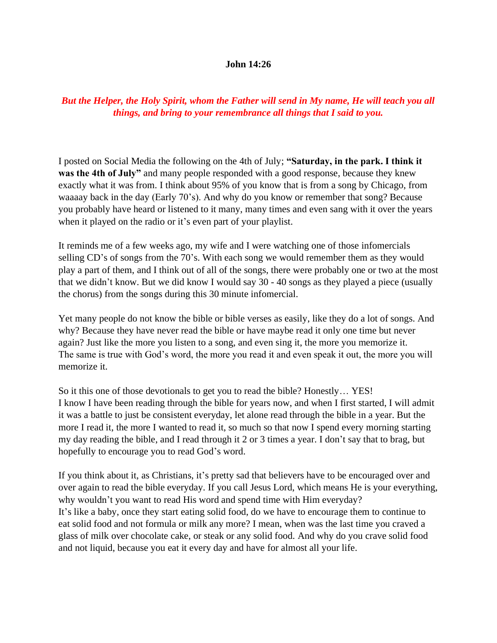## **John 14:26**

## *But the Helper, the Holy Spirit, whom the Father will send in My name, He will teach you all things, and bring to your remembrance all things that I said to you.*

I posted on Social Media the following on the 4th of July; **"Saturday, in the park. I think it was the 4th of July"** and many people responded with a good response, because they knew exactly what it was from. I think about 95% of you know that is from a song by Chicago, from waaaay back in the day (Early 70's). And why do you know or remember that song? Because you probably have heard or listened to it many, many times and even sang with it over the years when it played on the radio or it's even part of your playlist.

It reminds me of a few weeks ago, my wife and I were watching one of those infomercials selling CD's of songs from the 70's. With each song we would remember them as they would play a part of them, and I think out of all of the songs, there were probably one or two at the most that we didn't know. But we did know I would say 30 - 40 songs as they played a piece (usually the chorus) from the songs during this 30 minute infomercial.

Yet many people do not know the bible or bible verses as easily, like they do a lot of songs. And why? Because they have never read the bible or have maybe read it only one time but never again? Just like the more you listen to a song, and even sing it, the more you memorize it. The same is true with God's word, the more you read it and even speak it out, the more you will memorize it.

So it this one of those devotionals to get you to read the bible? Honestly… YES! I know I have been reading through the bible for years now, and when I first started, I will admit it was a battle to just be consistent everyday, let alone read through the bible in a year. But the more I read it, the more I wanted to read it, so much so that now I spend every morning starting my day reading the bible, and I read through it 2 or 3 times a year. I don't say that to brag, but hopefully to encourage you to read God's word.

If you think about it, as Christians, it's pretty sad that believers have to be encouraged over and over again to read the bible everyday. If you call Jesus Lord, which means He is your everything, why wouldn't you want to read His word and spend time with Him everyday? It's like a baby, once they start eating solid food, do we have to encourage them to continue to eat solid food and not formula or milk any more? I mean, when was the last time you craved a glass of milk over chocolate cake, or steak or any solid food. And why do you crave solid food and not liquid, because you eat it every day and have for almost all your life.